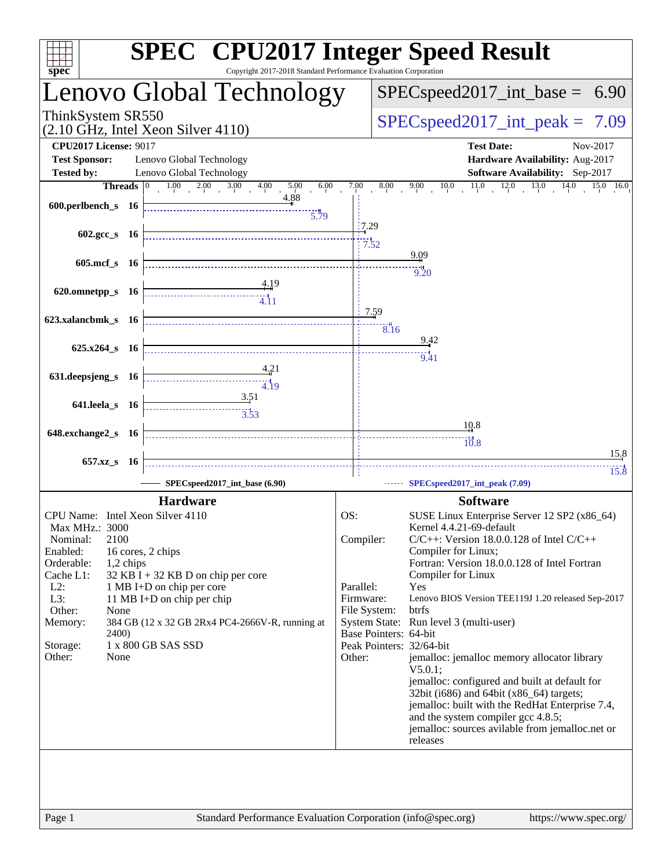| spec                                                                                                                                                                                                                    | <b>SPEC<sup>®</sup></b> CPU2017 Integer Speed Result<br>Copyright 2017-2018 Standard Performance Evaluation Corporation                                                                                                                                                                                                                                                                                                                        |                                                                      |                                                   |                                                                                                                                                                                                 |                   |                                                                                                                                                                                                                                                                                                                                                                                                                                                       |                      |
|-------------------------------------------------------------------------------------------------------------------------------------------------------------------------------------------------------------------------|------------------------------------------------------------------------------------------------------------------------------------------------------------------------------------------------------------------------------------------------------------------------------------------------------------------------------------------------------------------------------------------------------------------------------------------------|----------------------------------------------------------------------|---------------------------------------------------|-------------------------------------------------------------------------------------------------------------------------------------------------------------------------------------------------|-------------------|-------------------------------------------------------------------------------------------------------------------------------------------------------------------------------------------------------------------------------------------------------------------------------------------------------------------------------------------------------------------------------------------------------------------------------------------------------|----------------------|
|                                                                                                                                                                                                                         | Lenovo Global Technology                                                                                                                                                                                                                                                                                                                                                                                                                       |                                                                      |                                                   |                                                                                                                                                                                                 |                   | $SPEC speed2017\_int\_base = 6.90$                                                                                                                                                                                                                                                                                                                                                                                                                    |                      |
| ThinkSystem SR550                                                                                                                                                                                                       | (2.10 GHz, Intel Xeon Silver 4110)                                                                                                                                                                                                                                                                                                                                                                                                             |                                                                      |                                                   |                                                                                                                                                                                                 |                   | $SPEC speed2017\_int\_peak =$                                                                                                                                                                                                                                                                                                                                                                                                                         | 7.09                 |
| <b>CPU2017 License: 9017</b><br><b>Test Sponsor:</b>                                                                                                                                                                    | Lenovo Global Technology                                                                                                                                                                                                                                                                                                                                                                                                                       |                                                                      |                                                   |                                                                                                                                                                                                 | <b>Test Date:</b> | Hardware Availability: Aug-2017                                                                                                                                                                                                                                                                                                                                                                                                                       | Nov-2017             |
| <b>Tested by:</b>                                                                                                                                                                                                       | Lenovo Global Technology<br><b>Threads</b> $\begin{array}{ c c c c c } \hline 0 & 1.00 & 2.00 & 3.00 & 4.00 \ \hline \end{array}$<br>$00 \frac{5.00}{4.88}$<br>6.00                                                                                                                                                                                                                                                                            |                                                                      |                                                   |                                                                                                                                                                                                 |                   | <b>Software Availability:</b> Sep-2017<br>$\begin{tabular}{c cccccc} $7.00$ & $8.00$ & $9.00$ & $10.0$ & $11.0$ & $12.0$ & $13.0$ & $14.0$ & $15.0$ & $16.0$ \\ \end{tabular}$                                                                                                                                                                                                                                                                        |                      |
|                                                                                                                                                                                                                         | 5.79                                                                                                                                                                                                                                                                                                                                                                                                                                           |                                                                      |                                                   |                                                                                                                                                                                                 |                   |                                                                                                                                                                                                                                                                                                                                                                                                                                                       |                      |
| 602.gcc_s 16                                                                                                                                                                                                            |                                                                                                                                                                                                                                                                                                                                                                                                                                                | 17.29<br>7.52                                                        |                                                   | 9.09                                                                                                                                                                                            |                   |                                                                                                                                                                                                                                                                                                                                                                                                                                                       |                      |
| 605.mcf_s 16                                                                                                                                                                                                            |                                                                                                                                                                                                                                                                                                                                                                                                                                                |                                                                      |                                                   | 9.20                                                                                                                                                                                            |                   |                                                                                                                                                                                                                                                                                                                                                                                                                                                       |                      |
| 620.omnetpp_s 16                                                                                                                                                                                                        |                                                                                                                                                                                                                                                                                                                                                                                                                                                |                                                                      |                                                   |                                                                                                                                                                                                 |                   |                                                                                                                                                                                                                                                                                                                                                                                                                                                       |                      |
| 623.xalancbmk_s 16                                                                                                                                                                                                      |                                                                                                                                                                                                                                                                                                                                                                                                                                                | 1.59                                                                 | $\overline{8.16}$                                 |                                                                                                                                                                                                 |                   |                                                                                                                                                                                                                                                                                                                                                                                                                                                       |                      |
| 625.x264_s 16                                                                                                                                                                                                           |                                                                                                                                                                                                                                                                                                                                                                                                                                                |                                                                      |                                                   | 9.42<br>9.41                                                                                                                                                                                    |                   |                                                                                                                                                                                                                                                                                                                                                                                                                                                       |                      |
| 631.deepsjeng_s 16                                                                                                                                                                                                      | 4.21<br>$\begin{array}{c c c c c} \hline \hline \multicolumn{3}{c }{\textbf{13.5}} & \multicolumn{2}{c }{\textbf{14.5}} \\ \hline \multicolumn{2}{c }{\textbf{15.5}} & \multicolumn{2}{c }{\textbf{16.5}} \\ \hline \multicolumn{2}{c }{\textbf{17.5}} & \multicolumn{2}{c }{\textbf{18.5}} \\ \hline \multicolumn{2}{c }{\textbf{19.5}} & \multicolumn{2}{c }{\textbf{19.5}} \\ \hline \multicolumn{2}{c }{\textbf{19.5}} & \multicolumn{2}{$ |                                                                      |                                                   |                                                                                                                                                                                                 |                   |                                                                                                                                                                                                                                                                                                                                                                                                                                                       |                      |
| 641.leela_s 16                                                                                                                                                                                                          | 3.51                                                                                                                                                                                                                                                                                                                                                                                                                                           |                                                                      |                                                   | 10.8                                                                                                                                                                                            |                   |                                                                                                                                                                                                                                                                                                                                                                                                                                                       |                      |
| 648.exchange2_s 16                                                                                                                                                                                                      |                                                                                                                                                                                                                                                                                                                                                                                                                                                |                                                                      |                                                   | $\dddot{10.8}$                                                                                                                                                                                  |                   |                                                                                                                                                                                                                                                                                                                                                                                                                                                       |                      |
| 657.xz_s 16                                                                                                                                                                                                             | SPECspeed2017_int_base (6.90)                                                                                                                                                                                                                                                                                                                                                                                                                  | .                                                                    |                                                   | SPECspeed2017_int_peak (7.09)                                                                                                                                                                   |                   |                                                                                                                                                                                                                                                                                                                                                                                                                                                       | 15.8<br>$15.\dot{8}$ |
|                                                                                                                                                                                                                         | <b>Hardware</b>                                                                                                                                                                                                                                                                                                                                                                                                                                |                                                                      |                                                   |                                                                                                                                                                                                 | <b>Software</b>   |                                                                                                                                                                                                                                                                                                                                                                                                                                                       |                      |
| CPU Name: Intel Xeon Silver 4110<br>Max MHz.: 3000<br>2100<br>Nominal:<br>Enabled:<br>Orderable:<br>1,2 chips<br>Cache L1:<br>$L2$ :<br>L3:<br>Other:<br>None<br>Memory:<br><b>2400</b> )<br>Storage:<br>Other:<br>None | 16 cores, 2 chips<br>$32$ KB I + 32 KB D on chip per core<br>1 MB I+D on chip per core<br>11 MB I+D on chip per chip<br>384 GB (12 x 32 GB 2Rx4 PC4-2666V-R, running at<br>1 x 800 GB SAS SSD                                                                                                                                                                                                                                                  | OS:<br>Compiler:<br>Parallel:<br>Firmware:<br>File System:<br>Other: | Base Pointers: 64-bit<br>Peak Pointers: 32/64-bit | Kernel 4.4.21-69-default<br>Compiler for Linux;<br>Compiler for Linux<br>Yes<br>btrfs<br>System State: Run level 3 (multi-user)<br>$V5.0.1$ :<br>and the system compiler gcc 4.8.5;<br>releases |                   | SUSE Linux Enterprise Server 12 SP2 (x86_64)<br>$C/C++$ : Version 18.0.0.128 of Intel $C/C++$<br>Fortran: Version 18.0.0.128 of Intel Fortran<br>Lenovo BIOS Version TEE119J 1.20 released Sep-2017<br>jemalloc: jemalloc memory allocator library<br>jemalloc: configured and built at default for<br>32bit (i686) and 64bit (x86_64) targets;<br>jemalloc: built with the RedHat Enterprise 7.4,<br>jemalloc: sources avilable from jemalloc.net or |                      |
|                                                                                                                                                                                                                         |                                                                                                                                                                                                                                                                                                                                                                                                                                                |                                                                      |                                                   |                                                                                                                                                                                                 |                   |                                                                                                                                                                                                                                                                                                                                                                                                                                                       |                      |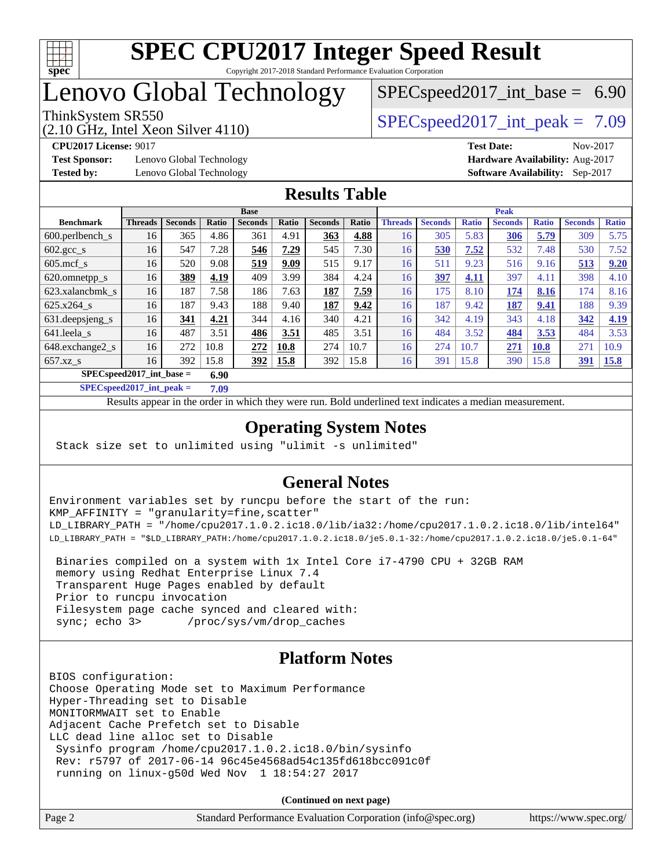

# Lenovo Global Technology

 $SPECspeed2017\_int\_base = 6.90$ 

(2.10 GHz, Intel Xeon Silver 4110)

ThinkSystem SR550  $SPEC speed2017$  int peak = 7.09

**[Test Sponsor:](http://www.spec.org/auto/cpu2017/Docs/result-fields.html#TestSponsor)** Lenovo Global Technology **[Hardware Availability:](http://www.spec.org/auto/cpu2017/Docs/result-fields.html#HardwareAvailability)** Aug-2017 **[Tested by:](http://www.spec.org/auto/cpu2017/Docs/result-fields.html#Testedby)** Lenovo Global Technology **[Software Availability:](http://www.spec.org/auto/cpu2017/Docs/result-fields.html#SoftwareAvailability)** Sep-2017

**[CPU2017 License:](http://www.spec.org/auto/cpu2017/Docs/result-fields.html#CPU2017License)** 9017 **[Test Date:](http://www.spec.org/auto/cpu2017/Docs/result-fields.html#TestDate)** Nov-2017

#### **[Results Table](http://www.spec.org/auto/cpu2017/Docs/result-fields.html#ResultsTable)**

| <b>Base</b>                        |                |                |       |                | <b>Peak</b> |                |       |                |                |              |                |              |                |              |
|------------------------------------|----------------|----------------|-------|----------------|-------------|----------------|-------|----------------|----------------|--------------|----------------|--------------|----------------|--------------|
| <b>Benchmark</b>                   | <b>Threads</b> | <b>Seconds</b> | Ratio | <b>Seconds</b> | Ratio       | <b>Seconds</b> | Ratio | <b>Threads</b> | <b>Seconds</b> | <b>Ratio</b> | <b>Seconds</b> | <b>Ratio</b> | <b>Seconds</b> | <b>Ratio</b> |
| $600.$ perlbench $\mathsf{S}$      | 16             | 365            | 4.86  | 361            | 4.91        | 363            | 4.88  | 16             | 305            | 5.83         | 306            | 5.79         | 309            | 5.75         |
| $602.\text{gcc}\s$                 | 16             | 547            | 7.28  | 546            | 7.29        | 545            | 7.30  | 16             | 530            | 7.52         | 532            | 7.48         | 530            | 7.52         |
| $605$ .mcf s                       | 16             | 520            | 9.08  | 519            | 9.09        | 515            | 9.17  | 16             | 511            | 9.23         | 516            | 9.16         | 513            | 9.20         |
| 620.omnetpp_s                      | 16             | 389            | 4.19  | 409            | 3.99        | 384            | 4.24  | 16             | 397            | 4.11         | 397            | 4.11         | 398            | 4.10         |
| 623.xalancbmk s                    | 16             | 187            | 7.58  | 186            | 7.63        | 187            | 7.59  | 16             | 175            | 8.10         | 174            | 8.16         | 174            | 8.16         |
| 625.x264 s                         | 16             | 187            | 9.43  | 188            | 9.40        | 187            | 9.42  | 16             | 187            | 9.42         | 187            | 9.41         | 188            | 9.39         |
| 631.deepsjeng_s                    | 16             | 341            | 4.21  | 344            | 4.16        | 340            | 4.21  | 16             | 342            | 4.19         | 343            | 4.18         | 342            | 4.19         |
| 641.leela s                        | 16             | 487            | 3.51  | 486            | 3.51        | 485            | 3.51  | 16             | 484            | 3.52         | 484            | 3.53         | 484            | 3.53         |
| 648.exchange2_s                    | 16             | 272            | 10.8  | 272            | 10.8        | 274            | 10.7  | 16             | 274            | 10.7         | 271            | <b>10.8</b>  | 271            | 10.9         |
| $657.xz$ <sub>S</sub>              | 16             | 392            | 15.8  | <u>392</u>     | 15.8        | 392            | 15.8  | 16             | 391            | 15.8         | 390            | 15.8         | 391            | 15.8         |
| $SPECspeed2017$ int base =<br>6.90 |                |                |       |                |             |                |       |                |                |              |                |              |                |              |

**[SPECspeed2017\\_int\\_peak =](http://www.spec.org/auto/cpu2017/Docs/result-fields.html#SPECspeed2017intpeak) 7.09**

Results appear in the [order in which they were run.](http://www.spec.org/auto/cpu2017/Docs/result-fields.html#RunOrder) Bold underlined text [indicates a median measurement](http://www.spec.org/auto/cpu2017/Docs/result-fields.html#Median).

### **[Operating System Notes](http://www.spec.org/auto/cpu2017/Docs/result-fields.html#OperatingSystemNotes)**

Stack size set to unlimited using "ulimit -s unlimited"

#### **[General Notes](http://www.spec.org/auto/cpu2017/Docs/result-fields.html#GeneralNotes)**

Environment variables set by runcpu before the start of the run: KMP\_AFFINITY = "granularity=fine,scatter" LD\_LIBRARY\_PATH = "/home/cpu2017.1.0.2.ic18.0/lib/ia32:/home/cpu2017.1.0.2.ic18.0/lib/intel64" LD\_LIBRARY\_PATH = "\$LD\_LIBRARY\_PATH:/home/cpu2017.1.0.2.ic18.0/je5.0.1-32:/home/cpu2017.1.0.2.ic18.0/je5.0.1-64"

 Binaries compiled on a system with 1x Intel Core i7-4790 CPU + 32GB RAM memory using Redhat Enterprise Linux 7.4 Transparent Huge Pages enabled by default Prior to runcpu invocation Filesystem page cache synced and cleared with: sync; echo 3> /proc/sys/vm/drop\_caches

#### **[Platform Notes](http://www.spec.org/auto/cpu2017/Docs/result-fields.html#PlatformNotes)**

BIOS configuration: Choose Operating Mode set to Maximum Performance Hyper-Threading set to Disable MONITORMWAIT set to Enable Adjacent Cache Prefetch set to Disable LLC dead line alloc set to Disable Sysinfo program /home/cpu2017.1.0.2.ic18.0/bin/sysinfo Rev: r5797 of 2017-06-14 96c45e4568ad54c135fd618bcc091c0f running on linux-g50d Wed Nov 1 18:54:27 2017

**(Continued on next page)**

| Page 2 | Standard Performance Evaluation Corporation (info@spec.org) | https://www.spec.org/ |
|--------|-------------------------------------------------------------|-----------------------|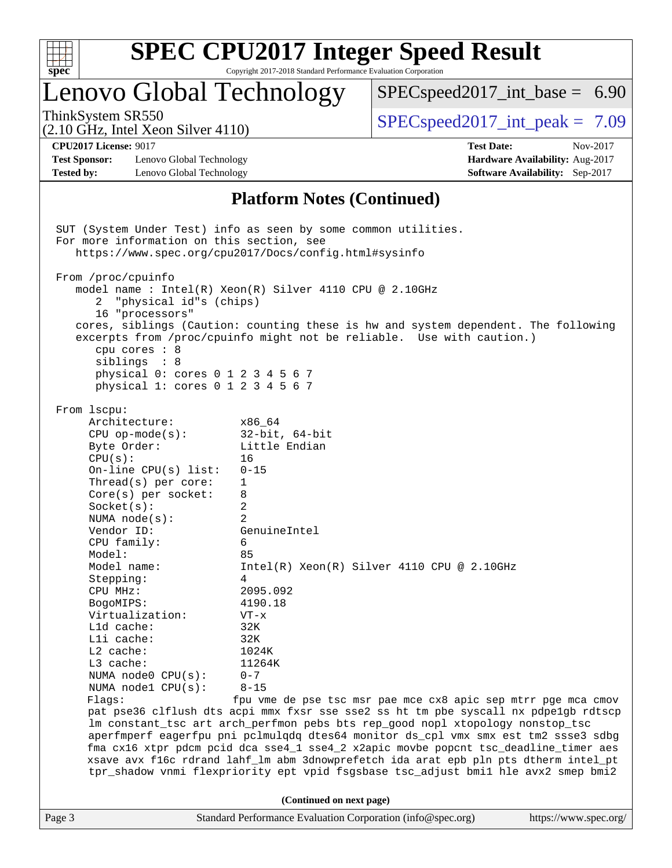| c<br>z | ù. | r |  |
|--------|----|---|--|

## Lenovo Global Technology

 $SPECspeed2017\_int\_base = 6.90$ 

(2.10 GHz, Intel Xeon Silver 4110)

ThinkSystem SR550  $SPIz$  Interval Section 4110.

**[Test Sponsor:](http://www.spec.org/auto/cpu2017/Docs/result-fields.html#TestSponsor)** Lenovo Global Technology **[Hardware Availability:](http://www.spec.org/auto/cpu2017/Docs/result-fields.html#HardwareAvailability)** Aug-2017 **[Tested by:](http://www.spec.org/auto/cpu2017/Docs/result-fields.html#Testedby)** Lenovo Global Technology **[Software Availability:](http://www.spec.org/auto/cpu2017/Docs/result-fields.html#SoftwareAvailability)** Sep-2017

**[CPU2017 License:](http://www.spec.org/auto/cpu2017/Docs/result-fields.html#CPU2017License)** 9017 **[Test Date:](http://www.spec.org/auto/cpu2017/Docs/result-fields.html#TestDate)** Nov-2017

#### **[Platform Notes \(Continued\)](http://www.spec.org/auto/cpu2017/Docs/result-fields.html#PlatformNotes)**

Page 3 Standard Performance Evaluation Corporation [\(info@spec.org\)](mailto:info@spec.org) <https://www.spec.org/> SUT (System Under Test) info as seen by some common utilities. For more information on this section, see <https://www.spec.org/cpu2017/Docs/config.html#sysinfo> From /proc/cpuinfo model name : Intel(R) Xeon(R) Silver 4110 CPU @ 2.10GHz 2 "physical id"s (chips) 16 "processors" cores, siblings (Caution: counting these is hw and system dependent. The following excerpts from /proc/cpuinfo might not be reliable. Use with caution.) cpu cores : 8 siblings : 8 physical 0: cores 0 1 2 3 4 5 6 7 physical 1: cores 0 1 2 3 4 5 6 7 From lscpu: Architecture: x86\_64 CPU op-mode(s): 32-bit, 64-bit Byte Order: Little Endian CPU(s): 16 On-line CPU(s) list: 0-15 Thread(s) per core: 1 Core(s) per socket: 8 Socket(s): 2 NUMA node(s): 2 Vendor ID: GenuineIntel CPU family: 6 Model: 85 Model name:  $Intel(R)$  Xeon(R) Silver 4110 CPU @ 2.10GHz Stepping: 4 CPU MHz: 2095.092 BogoMIPS: 4190.18 Virtualization: VT-x L1d cache: 32K L1i cache: 32K L2 cache: 1024K L3 cache: 11264K NUMA node0 CPU(s): 0-7 NUMA node1 CPU(s): 8-15 Flags: fpu vme de pse tsc msr pae mce cx8 apic sep mtrr pge mca cmov pat pse36 clflush dts acpi mmx fxsr sse sse2 ss ht tm pbe syscall nx pdpe1gb rdtscp lm constant\_tsc art arch\_perfmon pebs bts rep\_good nopl xtopology nonstop\_tsc aperfmperf eagerfpu pni pclmulqdq dtes64 monitor ds\_cpl vmx smx est tm2 ssse3 sdbg fma cx16 xtpr pdcm pcid dca sse4\_1 sse4\_2 x2apic movbe popcnt tsc\_deadline\_timer aes xsave avx f16c rdrand lahf\_lm abm 3dnowprefetch ida arat epb pln pts dtherm intel\_pt tpr\_shadow vnmi flexpriority ept vpid fsgsbase tsc\_adjust bmi1 hle avx2 smep bmi2 **(Continued on next page)**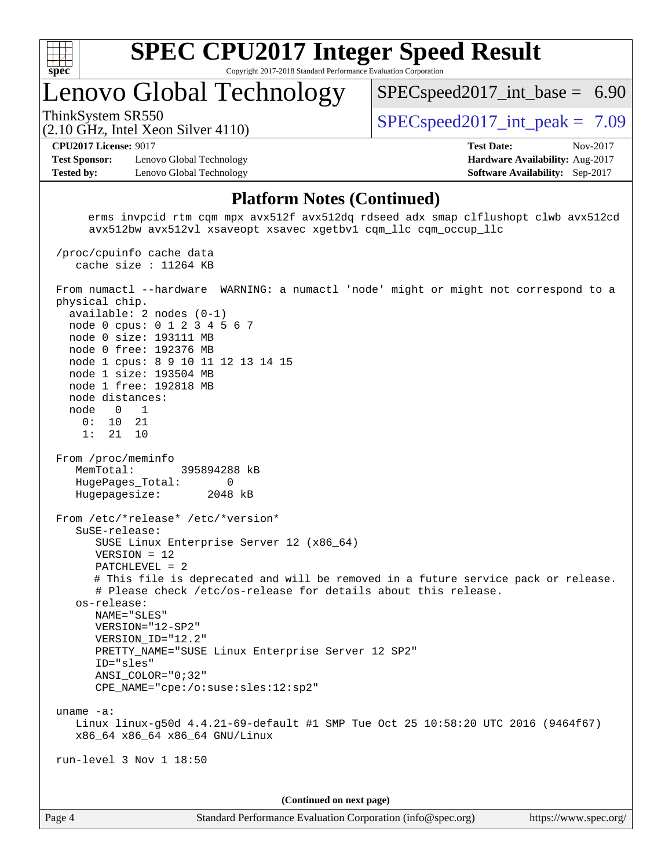

## Lenovo Global Technology

ThinkSystem SR550  $SPIz$  Interval Section 4110.

 $SPECspeed2017\_int\_base = 6.90$ 

#### (2.10 GHz, Intel Xeon Silver 4110)

**[CPU2017 License:](http://www.spec.org/auto/cpu2017/Docs/result-fields.html#CPU2017License)** 9017 **[Test Date:](http://www.spec.org/auto/cpu2017/Docs/result-fields.html#TestDate)** Nov-2017

**[Test Sponsor:](http://www.spec.org/auto/cpu2017/Docs/result-fields.html#TestSponsor)** Lenovo Global Technology **[Hardware Availability:](http://www.spec.org/auto/cpu2017/Docs/result-fields.html#HardwareAvailability)** Aug-2017 **[Tested by:](http://www.spec.org/auto/cpu2017/Docs/result-fields.html#Testedby)** Lenovo Global Technology **[Software Availability:](http://www.spec.org/auto/cpu2017/Docs/result-fields.html#SoftwareAvailability)** Sep-2017

#### **[Platform Notes \(Continued\)](http://www.spec.org/auto/cpu2017/Docs/result-fields.html#PlatformNotes)**

 erms invpcid rtm cqm mpx avx512f avx512dq rdseed adx smap clflushopt clwb avx512cd avx512bw avx512vl xsaveopt xsavec xgetbv1 cqm\_llc cqm\_occup\_llc

 /proc/cpuinfo cache data cache size : 11264 KB From numactl --hardware WARNING: a numactl 'node' might or might not correspond to a physical chip. available: 2 nodes (0-1) node 0 cpus: 0 1 2 3 4 5 6 7 node 0 size: 193111 MB node 0 free: 192376 MB node 1 cpus: 8 9 10 11 12 13 14 15 node 1 size: 193504 MB node 1 free: 192818 MB node distances: node 0 1 0: 10 21 1: 21 10 From /proc/meminfo MemTotal: 395894288 kB HugePages\_Total: 0 Hugepagesize: 2048 kB From /etc/\*release\* /etc/\*version\* SuSE-release: SUSE Linux Enterprise Server 12 (x86\_64) VERSION = 12 PATCHLEVEL = 2 # This file is deprecated and will be removed in a future service pack or release. # Please check /etc/os-release for details about this release. os-release: NAME="SLES" VERSION="12-SP2" VERSION\_ID="12.2" PRETTY\_NAME="SUSE Linux Enterprise Server 12 SP2" ID="sles" ANSI\_COLOR="0;32" CPE\_NAME="cpe:/o:suse:sles:12:sp2" uname -a: Linux linux-g50d 4.4.21-69-default #1 SMP Tue Oct 25 10:58:20 UTC 2016 (9464f67) x86\_64 x86\_64 x86\_64 GNU/Linux run-level 3 Nov 1 18:50 **(Continued on next page)**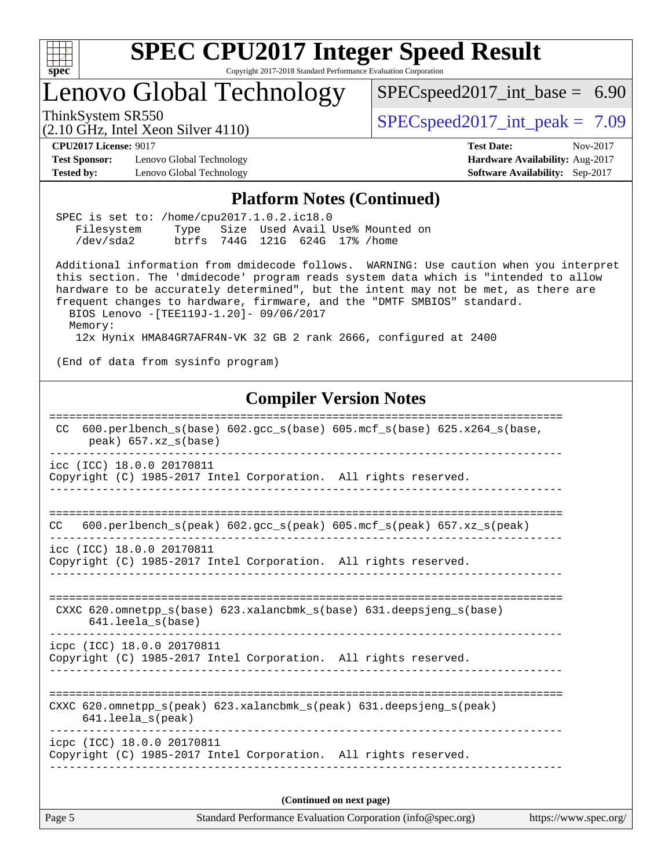

# **[SPEC CPU2017 Integer Speed Result](http://www.spec.org/auto/cpu2017/Docs/result-fields.html#SPECCPU2017IntegerSpeedResult)**

Copyright 2017-2018 Standard Performance Evaluation Corporation

## Lenovo Global Technology

[SPECspeed2017\\_int\\_base =](http://www.spec.org/auto/cpu2017/Docs/result-fields.html#SPECspeed2017intbase) 6.90

(2.10 GHz, Intel Xeon Silver 4110)

ThinkSystem SR550  $SPEC speed2017$  int peak = 7.09

**[Test Sponsor:](http://www.spec.org/auto/cpu2017/Docs/result-fields.html#TestSponsor)** Lenovo Global Technology **[Hardware Availability:](http://www.spec.org/auto/cpu2017/Docs/result-fields.html#HardwareAvailability)** Aug-2017 **[Tested by:](http://www.spec.org/auto/cpu2017/Docs/result-fields.html#Testedby)** Lenovo Global Technology **[Software Availability:](http://www.spec.org/auto/cpu2017/Docs/result-fields.html#SoftwareAvailability)** Sep-2017

**[CPU2017 License:](http://www.spec.org/auto/cpu2017/Docs/result-fields.html#CPU2017License)** 9017 **[Test Date:](http://www.spec.org/auto/cpu2017/Docs/result-fields.html#TestDate)** Nov-2017

#### **[Platform Notes \(Continued\)](http://www.spec.org/auto/cpu2017/Docs/result-fields.html#PlatformNotes)**

|            | SPEC is set to: /home/cpu2017.1.0.2.ic18.0 |  |  |  |  |                                      |  |
|------------|--------------------------------------------|--|--|--|--|--------------------------------------|--|
| Filesystem |                                            |  |  |  |  | Type Size Used Avail Use% Mounted on |  |
| /dev/sda2  | btrfs 744G 121G 624G 17% / home            |  |  |  |  |                                      |  |

 Additional information from dmidecode follows. WARNING: Use caution when you interpret this section. The 'dmidecode' program reads system data which is "intended to allow hardware to be accurately determined", but the intent may not be met, as there are frequent changes to hardware, firmware, and the "DMTF SMBIOS" standard. BIOS Lenovo -[TEE119J-1.20]- 09/06/2017

Memory:

12x Hynix HMA84GR7AFR4N-VK 32 GB 2 rank 2666, configured at 2400

(End of data from sysinfo program)

#### **[Compiler Version Notes](http://www.spec.org/auto/cpu2017/Docs/result-fields.html#CompilerVersionNotes)**

| 600.perlbench_s(base) 602.gcc_s(base) 605.mcf_s(base) 625.x264_s(base,<br>CC.<br>$peak)$ 657.xz_s(base)                                                                                                                                                                                                                                                                       |
|-------------------------------------------------------------------------------------------------------------------------------------------------------------------------------------------------------------------------------------------------------------------------------------------------------------------------------------------------------------------------------|
| icc (ICC) 18.0.0 20170811<br>Copyright (C) 1985-2017 Intel Corporation. All rights reserved.                                                                                                                                                                                                                                                                                  |
| -------------------------------<br>600.perlbench $s$ (peak) 602.gcc $s$ (peak) 605.mcf $s$ (peak) 657.xz $s$ (peak)<br>CC                                                                                                                                                                                                                                                     |
| icc (ICC) 18.0.0 20170811<br>Copyright (C) 1985-2017 Intel Corporation. All rights reserved.                                                                                                                                                                                                                                                                                  |
| CXXC 620. omnetpp $s(base)$ 623. xalancbmk $s(base)$ 631. deepsjeng $s(base)$<br>$641.$ leela_s(base)                                                                                                                                                                                                                                                                         |
| icpc (ICC) 18.0.0 20170811<br>Copyright (C) 1985-2017 Intel Corporation. All rights reserved.                                                                                                                                                                                                                                                                                 |
| ===========================<br>CXXC 620.omnetpp $s(\text{peak})$ 623.xalancbmk $s(\text{peak})$ 631.deepsjeng $s(\text{peak})$<br>$641.$ leela_s(peak)                                                                                                                                                                                                                        |
| icpc (ICC) 18.0.0 20170811<br>Copyright (C) 1985-2017 Intel Corporation. All rights reserved.                                                                                                                                                                                                                                                                                 |
| (Continued on next page)<br>$\mathbf{Q}_1$ and $\mathbf{D}_2$ $\mathbf{C}_3$ and $\mathbf{D}_3$ and $\mathbf{D}_4$ and $\mathbf{Q}_5$ and $\mathbf{Q}_5$ and $\mathbf{C}_4$ $\mathbf{C}_5$ $\mathbf{Q}_5$ and $\mathbf{Q}_6$ and $\mathbf{Q}_7$ and $\mathbf{Q}_8$ and $\mathbf{Q}_7$ and $\mathbf{Q}_8$ and $\mathbf{Q}_9$ and $\mathbf{Q}_9$<br>$\mathbf{D}$ . $\mathbf{F}$ |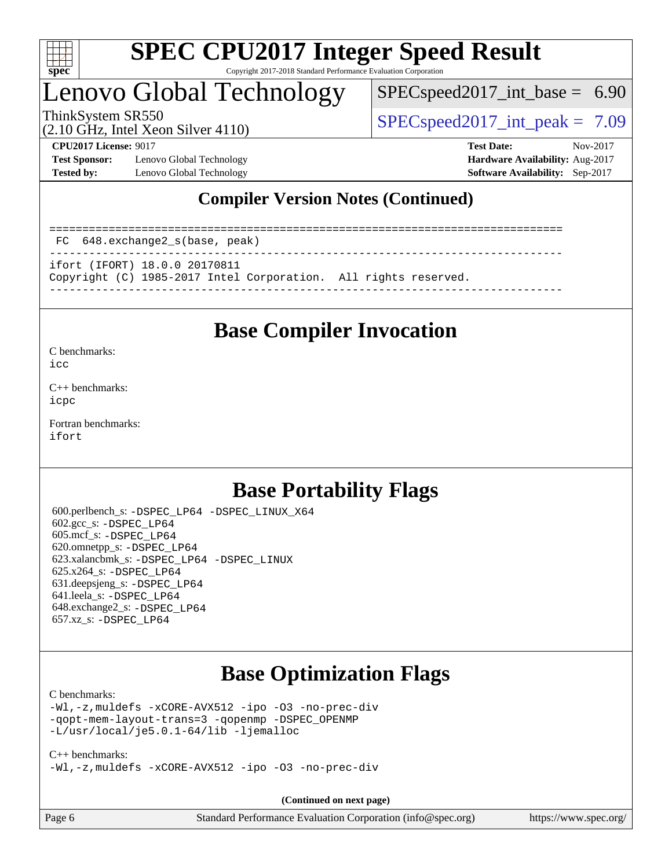

## Lenovo Global Technology

 $SPECspeed2017\_int\_base = 6.90$ 

ThinkSystem SR550  $SPEC speed2017$  int peak = 7.09

(2.10 GHz, Intel Xeon Silver 4110)

**[Test Sponsor:](http://www.spec.org/auto/cpu2017/Docs/result-fields.html#TestSponsor)** Lenovo Global Technology **[Hardware Availability:](http://www.spec.org/auto/cpu2017/Docs/result-fields.html#HardwareAvailability)** Aug-2017 **[Tested by:](http://www.spec.org/auto/cpu2017/Docs/result-fields.html#Testedby)** Lenovo Global Technology **[Software Availability:](http://www.spec.org/auto/cpu2017/Docs/result-fields.html#SoftwareAvailability)** Sep-2017

**[CPU2017 License:](http://www.spec.org/auto/cpu2017/Docs/result-fields.html#CPU2017License)** 9017 **[Test Date:](http://www.spec.org/auto/cpu2017/Docs/result-fields.html#TestDate)** Nov-2017

### **[Compiler Version Notes \(Continued\)](http://www.spec.org/auto/cpu2017/Docs/result-fields.html#CompilerVersionNotes)**

============================================================================== FC 648.exchange2\_s(base, peak) ----------------------------------------------------------------------------- ifort (IFORT) 18.0.0 20170811 Copyright (C) 1985-2017 Intel Corporation. All rights reserved.

------------------------------------------------------------------------------

## **[Base Compiler Invocation](http://www.spec.org/auto/cpu2017/Docs/result-fields.html#BaseCompilerInvocation)**

[C benchmarks](http://www.spec.org/auto/cpu2017/Docs/result-fields.html#Cbenchmarks):

[icc](http://www.spec.org/cpu2017/results/res2017q4/cpu2017-20171113-00553.flags.html#user_CCbase_intel_icc_18.0_66fc1ee009f7361af1fbd72ca7dcefbb700085f36577c54f309893dd4ec40d12360134090235512931783d35fd58c0460139e722d5067c5574d8eaf2b3e37e92)

[C++ benchmarks:](http://www.spec.org/auto/cpu2017/Docs/result-fields.html#CXXbenchmarks) [icpc](http://www.spec.org/cpu2017/results/res2017q4/cpu2017-20171113-00553.flags.html#user_CXXbase_intel_icpc_18.0_c510b6838c7f56d33e37e94d029a35b4a7bccf4766a728ee175e80a419847e808290a9b78be685c44ab727ea267ec2f070ec5dc83b407c0218cded6866a35d07)

[Fortran benchmarks](http://www.spec.org/auto/cpu2017/Docs/result-fields.html#Fortranbenchmarks): [ifort](http://www.spec.org/cpu2017/results/res2017q4/cpu2017-20171113-00553.flags.html#user_FCbase_intel_ifort_18.0_8111460550e3ca792625aed983ce982f94888b8b503583aa7ba2b8303487b4d8a21a13e7191a45c5fd58ff318f48f9492884d4413fa793fd88dd292cad7027ca)

## **[Base Portability Flags](http://www.spec.org/auto/cpu2017/Docs/result-fields.html#BasePortabilityFlags)**

 600.perlbench\_s: [-DSPEC\\_LP64](http://www.spec.org/cpu2017/results/res2017q4/cpu2017-20171113-00553.flags.html#b600.perlbench_s_basePORTABILITY_DSPEC_LP64) [-DSPEC\\_LINUX\\_X64](http://www.spec.org/cpu2017/results/res2017q4/cpu2017-20171113-00553.flags.html#b600.perlbench_s_baseCPORTABILITY_DSPEC_LINUX_X64) 602.gcc\_s: [-DSPEC\\_LP64](http://www.spec.org/cpu2017/results/res2017q4/cpu2017-20171113-00553.flags.html#suite_basePORTABILITY602_gcc_s_DSPEC_LP64) 605.mcf\_s: [-DSPEC\\_LP64](http://www.spec.org/cpu2017/results/res2017q4/cpu2017-20171113-00553.flags.html#suite_basePORTABILITY605_mcf_s_DSPEC_LP64) 620.omnetpp\_s: [-DSPEC\\_LP64](http://www.spec.org/cpu2017/results/res2017q4/cpu2017-20171113-00553.flags.html#suite_basePORTABILITY620_omnetpp_s_DSPEC_LP64) 623.xalancbmk\_s: [-DSPEC\\_LP64](http://www.spec.org/cpu2017/results/res2017q4/cpu2017-20171113-00553.flags.html#suite_basePORTABILITY623_xalancbmk_s_DSPEC_LP64) [-DSPEC\\_LINUX](http://www.spec.org/cpu2017/results/res2017q4/cpu2017-20171113-00553.flags.html#b623.xalancbmk_s_baseCXXPORTABILITY_DSPEC_LINUX) 625.x264\_s: [-DSPEC\\_LP64](http://www.spec.org/cpu2017/results/res2017q4/cpu2017-20171113-00553.flags.html#suite_basePORTABILITY625_x264_s_DSPEC_LP64) 631.deepsjeng\_s: [-DSPEC\\_LP64](http://www.spec.org/cpu2017/results/res2017q4/cpu2017-20171113-00553.flags.html#suite_basePORTABILITY631_deepsjeng_s_DSPEC_LP64) 641.leela\_s: [-DSPEC\\_LP64](http://www.spec.org/cpu2017/results/res2017q4/cpu2017-20171113-00553.flags.html#suite_basePORTABILITY641_leela_s_DSPEC_LP64) 648.exchange2\_s: [-DSPEC\\_LP64](http://www.spec.org/cpu2017/results/res2017q4/cpu2017-20171113-00553.flags.html#suite_basePORTABILITY648_exchange2_s_DSPEC_LP64) 657.xz\_s: [-DSPEC\\_LP64](http://www.spec.org/cpu2017/results/res2017q4/cpu2017-20171113-00553.flags.html#suite_basePORTABILITY657_xz_s_DSPEC_LP64)

## **[Base Optimization Flags](http://www.spec.org/auto/cpu2017/Docs/result-fields.html#BaseOptimizationFlags)**

#### [C benchmarks](http://www.spec.org/auto/cpu2017/Docs/result-fields.html#Cbenchmarks):

[-Wl,-z,muldefs](http://www.spec.org/cpu2017/results/res2017q4/cpu2017-20171113-00553.flags.html#user_CCbase_link_force_multiple1_b4cbdb97b34bdee9ceefcfe54f4c8ea74255f0b02a4b23e853cdb0e18eb4525ac79b5a88067c842dd0ee6996c24547a27a4b99331201badda8798ef8a743f577) [-xCORE-AVX512](http://www.spec.org/cpu2017/results/res2017q4/cpu2017-20171113-00553.flags.html#user_CCbase_f-xCORE-AVX512) [-ipo](http://www.spec.org/cpu2017/results/res2017q4/cpu2017-20171113-00553.flags.html#user_CCbase_f-ipo) [-O3](http://www.spec.org/cpu2017/results/res2017q4/cpu2017-20171113-00553.flags.html#user_CCbase_f-O3) [-no-prec-div](http://www.spec.org/cpu2017/results/res2017q4/cpu2017-20171113-00553.flags.html#user_CCbase_f-no-prec-div) [-qopt-mem-layout-trans=3](http://www.spec.org/cpu2017/results/res2017q4/cpu2017-20171113-00553.flags.html#user_CCbase_f-qopt-mem-layout-trans_de80db37974c74b1f0e20d883f0b675c88c3b01e9d123adea9b28688d64333345fb62bc4a798493513fdb68f60282f9a726aa07f478b2f7113531aecce732043) [-qopenmp](http://www.spec.org/cpu2017/results/res2017q4/cpu2017-20171113-00553.flags.html#user_CCbase_qopenmp_16be0c44f24f464004c6784a7acb94aca937f053568ce72f94b139a11c7c168634a55f6653758ddd83bcf7b8463e8028bb0b48b77bcddc6b78d5d95bb1df2967) [-DSPEC\\_OPENMP](http://www.spec.org/cpu2017/results/res2017q4/cpu2017-20171113-00553.flags.html#suite_CCbase_DSPEC_OPENMP) [-L/usr/local/je5.0.1-64/lib](http://www.spec.org/cpu2017/results/res2017q4/cpu2017-20171113-00553.flags.html#user_CCbase_jemalloc_link_path64_4b10a636b7bce113509b17f3bd0d6226c5fb2346b9178c2d0232c14f04ab830f976640479e5c33dc2bcbbdad86ecfb6634cbbd4418746f06f368b512fced5394) [-ljemalloc](http://www.spec.org/cpu2017/results/res2017q4/cpu2017-20171113-00553.flags.html#user_CCbase_jemalloc_link_lib_d1249b907c500fa1c0672f44f562e3d0f79738ae9e3c4a9c376d49f265a04b9c99b167ecedbf6711b3085be911c67ff61f150a17b3472be731631ba4d0471706)

#### [C++ benchmarks:](http://www.spec.org/auto/cpu2017/Docs/result-fields.html#CXXbenchmarks)

[-Wl,-z,muldefs](http://www.spec.org/cpu2017/results/res2017q4/cpu2017-20171113-00553.flags.html#user_CXXbase_link_force_multiple1_b4cbdb97b34bdee9ceefcfe54f4c8ea74255f0b02a4b23e853cdb0e18eb4525ac79b5a88067c842dd0ee6996c24547a27a4b99331201badda8798ef8a743f577) [-xCORE-AVX512](http://www.spec.org/cpu2017/results/res2017q4/cpu2017-20171113-00553.flags.html#user_CXXbase_f-xCORE-AVX512) [-ipo](http://www.spec.org/cpu2017/results/res2017q4/cpu2017-20171113-00553.flags.html#user_CXXbase_f-ipo) [-O3](http://www.spec.org/cpu2017/results/res2017q4/cpu2017-20171113-00553.flags.html#user_CXXbase_f-O3) [-no-prec-div](http://www.spec.org/cpu2017/results/res2017q4/cpu2017-20171113-00553.flags.html#user_CXXbase_f-no-prec-div)

**(Continued on next page)**

| $\vert$ Page 6 | Standard Performance Evaluation Corporation (info@spec.org) | https://www.spec.org/ |
|----------------|-------------------------------------------------------------|-----------------------|
|----------------|-------------------------------------------------------------|-----------------------|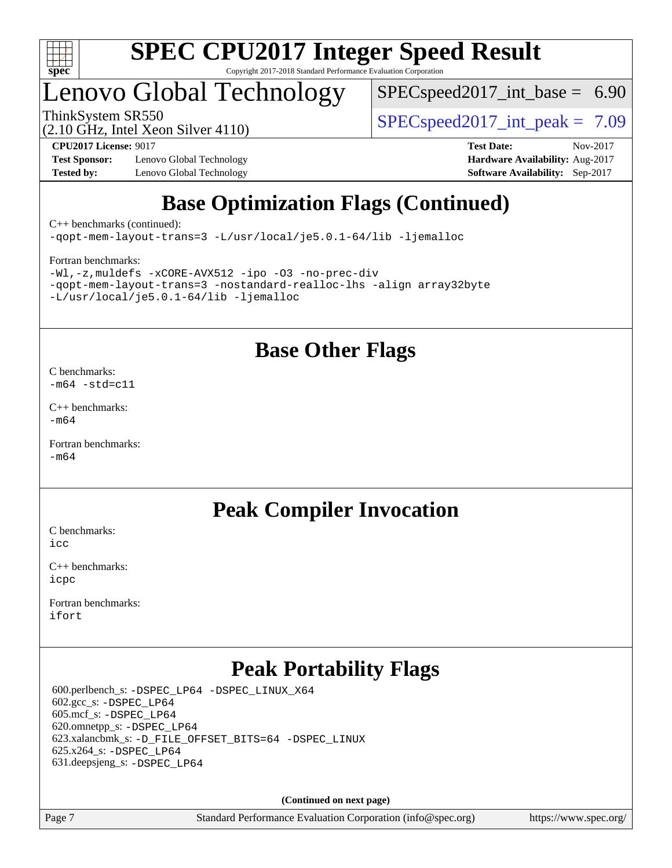

## Lenovo Global Technology

 $SPECspeed2017\_int\_base = 6.90$ 

(2.10 GHz, Intel Xeon Silver 4110)

ThinkSystem SR550  $SPIz$  Interval Section 4110.

**[Test Sponsor:](http://www.spec.org/auto/cpu2017/Docs/result-fields.html#TestSponsor)** Lenovo Global Technology **[Hardware Availability:](http://www.spec.org/auto/cpu2017/Docs/result-fields.html#HardwareAvailability)** Aug-2017 **[Tested by:](http://www.spec.org/auto/cpu2017/Docs/result-fields.html#Testedby)** Lenovo Global Technology **[Software Availability:](http://www.spec.org/auto/cpu2017/Docs/result-fields.html#SoftwareAvailability)** Sep-2017

**[CPU2017 License:](http://www.spec.org/auto/cpu2017/Docs/result-fields.html#CPU2017License)** 9017 **[Test Date:](http://www.spec.org/auto/cpu2017/Docs/result-fields.html#TestDate)** Nov-2017

## **[Base Optimization Flags \(Continued\)](http://www.spec.org/auto/cpu2017/Docs/result-fields.html#BaseOptimizationFlags)**

[C++ benchmarks](http://www.spec.org/auto/cpu2017/Docs/result-fields.html#CXXbenchmarks) (continued):

[-qopt-mem-layout-trans=3](http://www.spec.org/cpu2017/results/res2017q4/cpu2017-20171113-00553.flags.html#user_CXXbase_f-qopt-mem-layout-trans_de80db37974c74b1f0e20d883f0b675c88c3b01e9d123adea9b28688d64333345fb62bc4a798493513fdb68f60282f9a726aa07f478b2f7113531aecce732043) [-L/usr/local/je5.0.1-64/lib](http://www.spec.org/cpu2017/results/res2017q4/cpu2017-20171113-00553.flags.html#user_CXXbase_jemalloc_link_path64_4b10a636b7bce113509b17f3bd0d6226c5fb2346b9178c2d0232c14f04ab830f976640479e5c33dc2bcbbdad86ecfb6634cbbd4418746f06f368b512fced5394) [-ljemalloc](http://www.spec.org/cpu2017/results/res2017q4/cpu2017-20171113-00553.flags.html#user_CXXbase_jemalloc_link_lib_d1249b907c500fa1c0672f44f562e3d0f79738ae9e3c4a9c376d49f265a04b9c99b167ecedbf6711b3085be911c67ff61f150a17b3472be731631ba4d0471706)

#### [Fortran benchmarks](http://www.spec.org/auto/cpu2017/Docs/result-fields.html#Fortranbenchmarks):

[-Wl,-z,muldefs](http://www.spec.org/cpu2017/results/res2017q4/cpu2017-20171113-00553.flags.html#user_FCbase_link_force_multiple1_b4cbdb97b34bdee9ceefcfe54f4c8ea74255f0b02a4b23e853cdb0e18eb4525ac79b5a88067c842dd0ee6996c24547a27a4b99331201badda8798ef8a743f577) [-xCORE-AVX512](http://www.spec.org/cpu2017/results/res2017q4/cpu2017-20171113-00553.flags.html#user_FCbase_f-xCORE-AVX512) [-ipo](http://www.spec.org/cpu2017/results/res2017q4/cpu2017-20171113-00553.flags.html#user_FCbase_f-ipo) [-O3](http://www.spec.org/cpu2017/results/res2017q4/cpu2017-20171113-00553.flags.html#user_FCbase_f-O3) [-no-prec-div](http://www.spec.org/cpu2017/results/res2017q4/cpu2017-20171113-00553.flags.html#user_FCbase_f-no-prec-div) [-qopt-mem-layout-trans=3](http://www.spec.org/cpu2017/results/res2017q4/cpu2017-20171113-00553.flags.html#user_FCbase_f-qopt-mem-layout-trans_de80db37974c74b1f0e20d883f0b675c88c3b01e9d123adea9b28688d64333345fb62bc4a798493513fdb68f60282f9a726aa07f478b2f7113531aecce732043) [-nostandard-realloc-lhs](http://www.spec.org/cpu2017/results/res2017q4/cpu2017-20171113-00553.flags.html#user_FCbase_f_2003_std_realloc_82b4557e90729c0f113870c07e44d33d6f5a304b4f63d4c15d2d0f1fab99f5daaed73bdb9275d9ae411527f28b936061aa8b9c8f2d63842963b95c9dd6426b8a) [-align array32byte](http://www.spec.org/cpu2017/results/res2017q4/cpu2017-20171113-00553.flags.html#user_FCbase_align_array32byte_b982fe038af199962ba9a80c053b8342c548c85b40b8e86eb3cc33dee0d7986a4af373ac2d51c3f7cf710a18d62fdce2948f201cd044323541f22fc0fffc51b6) [-L/usr/local/je5.0.1-64/lib](http://www.spec.org/cpu2017/results/res2017q4/cpu2017-20171113-00553.flags.html#user_FCbase_jemalloc_link_path64_4b10a636b7bce113509b17f3bd0d6226c5fb2346b9178c2d0232c14f04ab830f976640479e5c33dc2bcbbdad86ecfb6634cbbd4418746f06f368b512fced5394) [-ljemalloc](http://www.spec.org/cpu2017/results/res2017q4/cpu2017-20171113-00553.flags.html#user_FCbase_jemalloc_link_lib_d1249b907c500fa1c0672f44f562e3d0f79738ae9e3c4a9c376d49f265a04b9c99b167ecedbf6711b3085be911c67ff61f150a17b3472be731631ba4d0471706)

## **[Base Other Flags](http://www.spec.org/auto/cpu2017/Docs/result-fields.html#BaseOtherFlags)**

[C benchmarks](http://www.spec.org/auto/cpu2017/Docs/result-fields.html#Cbenchmarks):  $-m64$   $-std=cl1$ 

[C++ benchmarks:](http://www.spec.org/auto/cpu2017/Docs/result-fields.html#CXXbenchmarks) [-m64](http://www.spec.org/cpu2017/results/res2017q4/cpu2017-20171113-00553.flags.html#user_CXXbase_intel_intel64_18.0_af43caccfc8ded86e7699f2159af6efc7655f51387b94da716254467f3c01020a5059329e2569e4053f409e7c9202a7efc638f7a6d1ffb3f52dea4a3e31d82ab)

[Fortran benchmarks](http://www.spec.org/auto/cpu2017/Docs/result-fields.html#Fortranbenchmarks): [-m64](http://www.spec.org/cpu2017/results/res2017q4/cpu2017-20171113-00553.flags.html#user_FCbase_intel_intel64_18.0_af43caccfc8ded86e7699f2159af6efc7655f51387b94da716254467f3c01020a5059329e2569e4053f409e7c9202a7efc638f7a6d1ffb3f52dea4a3e31d82ab)

## **[Peak Compiler Invocation](http://www.spec.org/auto/cpu2017/Docs/result-fields.html#PeakCompilerInvocation)**

[C benchmarks](http://www.spec.org/auto/cpu2017/Docs/result-fields.html#Cbenchmarks): [icc](http://www.spec.org/cpu2017/results/res2017q4/cpu2017-20171113-00553.flags.html#user_CCpeak_intel_icc_18.0_66fc1ee009f7361af1fbd72ca7dcefbb700085f36577c54f309893dd4ec40d12360134090235512931783d35fd58c0460139e722d5067c5574d8eaf2b3e37e92)

[C++ benchmarks:](http://www.spec.org/auto/cpu2017/Docs/result-fields.html#CXXbenchmarks) [icpc](http://www.spec.org/cpu2017/results/res2017q4/cpu2017-20171113-00553.flags.html#user_CXXpeak_intel_icpc_18.0_c510b6838c7f56d33e37e94d029a35b4a7bccf4766a728ee175e80a419847e808290a9b78be685c44ab727ea267ec2f070ec5dc83b407c0218cded6866a35d07)

[Fortran benchmarks](http://www.spec.org/auto/cpu2017/Docs/result-fields.html#Fortranbenchmarks): [ifort](http://www.spec.org/cpu2017/results/res2017q4/cpu2017-20171113-00553.flags.html#user_FCpeak_intel_ifort_18.0_8111460550e3ca792625aed983ce982f94888b8b503583aa7ba2b8303487b4d8a21a13e7191a45c5fd58ff318f48f9492884d4413fa793fd88dd292cad7027ca)

## **[Peak Portability Flags](http://www.spec.org/auto/cpu2017/Docs/result-fields.html#PeakPortabilityFlags)**

 600.perlbench\_s: [-DSPEC\\_LP64](http://www.spec.org/cpu2017/results/res2017q4/cpu2017-20171113-00553.flags.html#b600.perlbench_s_peakPORTABILITY_DSPEC_LP64) [-DSPEC\\_LINUX\\_X64](http://www.spec.org/cpu2017/results/res2017q4/cpu2017-20171113-00553.flags.html#b600.perlbench_s_peakCPORTABILITY_DSPEC_LINUX_X64)  $602.\text{gcc}\$ : -DSPEC LP64 605.mcf\_s: [-DSPEC\\_LP64](http://www.spec.org/cpu2017/results/res2017q4/cpu2017-20171113-00553.flags.html#suite_peakPORTABILITY605_mcf_s_DSPEC_LP64) 620.omnetpp\_s: [-DSPEC\\_LP64](http://www.spec.org/cpu2017/results/res2017q4/cpu2017-20171113-00553.flags.html#suite_peakPORTABILITY620_omnetpp_s_DSPEC_LP64) 623.xalancbmk\_s: [-D\\_FILE\\_OFFSET\\_BITS=64](http://www.spec.org/cpu2017/results/res2017q4/cpu2017-20171113-00553.flags.html#user_peakPORTABILITY623_xalancbmk_s_file_offset_bits_64_5ae949a99b284ddf4e95728d47cb0843d81b2eb0e18bdfe74bbf0f61d0b064f4bda2f10ea5eb90e1dcab0e84dbc592acfc5018bc955c18609f94ddb8d550002c) [-DSPEC\\_LINUX](http://www.spec.org/cpu2017/results/res2017q4/cpu2017-20171113-00553.flags.html#b623.xalancbmk_s_peakCXXPORTABILITY_DSPEC_LINUX) 625.x264\_s: [-DSPEC\\_LP64](http://www.spec.org/cpu2017/results/res2017q4/cpu2017-20171113-00553.flags.html#suite_peakPORTABILITY625_x264_s_DSPEC_LP64) 631.deepsjeng\_s: [-DSPEC\\_LP64](http://www.spec.org/cpu2017/results/res2017q4/cpu2017-20171113-00553.flags.html#suite_peakPORTABILITY631_deepsjeng_s_DSPEC_LP64)

**(Continued on next page)**

Page 7 Standard Performance Evaluation Corporation [\(info@spec.org\)](mailto:info@spec.org) <https://www.spec.org/>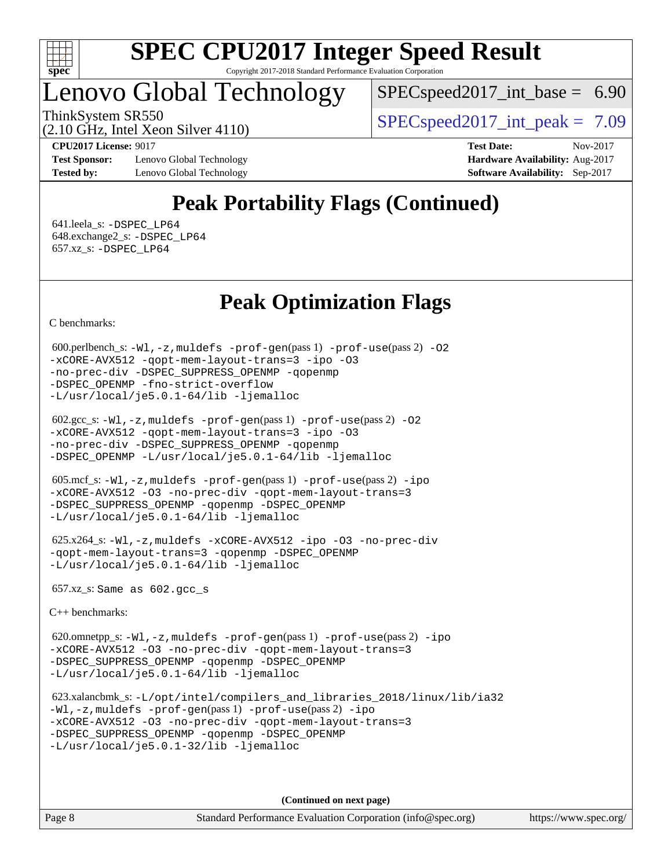

## Lenovo Global Technology

 $SPECspeed2017\_int\_base = 6.90$ 

ThinkSystem SR550  $SPIz$  Interval Section 4110.

(2.10 GHz, Intel Xeon Silver 4110)

**[Test Sponsor:](http://www.spec.org/auto/cpu2017/Docs/result-fields.html#TestSponsor)** Lenovo Global Technology **[Hardware Availability:](http://www.spec.org/auto/cpu2017/Docs/result-fields.html#HardwareAvailability)** Aug-2017 **[Tested by:](http://www.spec.org/auto/cpu2017/Docs/result-fields.html#Testedby)** Lenovo Global Technology **[Software Availability:](http://www.spec.org/auto/cpu2017/Docs/result-fields.html#SoftwareAvailability)** Sep-2017

**[CPU2017 License:](http://www.spec.org/auto/cpu2017/Docs/result-fields.html#CPU2017License)** 9017 **[Test Date:](http://www.spec.org/auto/cpu2017/Docs/result-fields.html#TestDate)** Nov-2017

## **[Peak Portability Flags \(Continued\)](http://www.spec.org/auto/cpu2017/Docs/result-fields.html#PeakPortabilityFlags)**

 641.leela\_s: [-DSPEC\\_LP64](http://www.spec.org/cpu2017/results/res2017q4/cpu2017-20171113-00553.flags.html#suite_peakPORTABILITY641_leela_s_DSPEC_LP64) 648.exchange2\_s: [-DSPEC\\_LP64](http://www.spec.org/cpu2017/results/res2017q4/cpu2017-20171113-00553.flags.html#suite_peakPORTABILITY648_exchange2_s_DSPEC_LP64) 657.xz\_s: [-DSPEC\\_LP64](http://www.spec.org/cpu2017/results/res2017q4/cpu2017-20171113-00553.flags.html#suite_peakPORTABILITY657_xz_s_DSPEC_LP64)

## **[Peak Optimization Flags](http://www.spec.org/auto/cpu2017/Docs/result-fields.html#PeakOptimizationFlags)**

[C benchmarks](http://www.spec.org/auto/cpu2017/Docs/result-fields.html#Cbenchmarks):

```
 600.perlbench_s: -Wl,-z,muldefs -prof-gen(pass 1) -prof-use(pass 2) -O2
-xCORE-AVX512 -qopt-mem-layout-trans=3 -ipo -O3
-no-prec-div -DSPEC_SUPPRESS_OPENMP -qopenmp
-DSPEC_OPENMP -fno-strict-overflow
-L/usr/local/je5.0.1-64/lib -ljemalloc
```

```
 602.gcc_s: -Wl,-z,muldefs -prof-gen(pass 1) -prof-use(pass 2) -O2
-xCORE-AVX512 -qopt-mem-layout-trans=3 -ipo -O3
-no-prec-div -DSPEC_SUPPRESS_OPENMP -qopenmp
-DSPEC_OPENMP -L/usr/local/je5.0.1-64/lib -ljemalloc
```

```
 605.mcf_s: -Wl,-z,muldefs -prof-gen(pass 1) -prof-use(pass 2) -ipo
-xCORE-AVX512 -O3 -no-prec-div -qopt-mem-layout-trans=3
-DSPEC_SUPPRESS_OPENMP -qopenmp -DSPEC_OPENMP
-L/usr/local/je5.0.1-64/lib -ljemalloc
```

```
 625.x264_s: -Wl,-z,muldefs -xCORE-AVX512 -ipo -O3 -no-prec-div
-qopt-mem-layout-trans=3 -qopenmp -DSPEC_OPENMP
-L/usr/local/je5.0.1-64/lib -ljemalloc
```
657.xz\_s: Same as 602.gcc\_s

[C++ benchmarks:](http://www.spec.org/auto/cpu2017/Docs/result-fields.html#CXXbenchmarks)

```
 620.omnetpp_s: -Wl,-z,muldefs -prof-gen(pass 1) -prof-use(pass 2) -ipo
-xCORE-AVX512 -O3 -no-prec-div -qopt-mem-layout-trans=3
-DSPEC_SUPPRESS_OPENMP -qopenmp -DSPEC_OPENMP
-L/usr/local/je5.0.1-64/lib -ljemalloc
```
 623.xalancbmk\_s: [-L/opt/intel/compilers\\_and\\_libraries\\_2018/linux/lib/ia32](http://www.spec.org/cpu2017/results/res2017q4/cpu2017-20171113-00553.flags.html#user_peakCXXLD623_xalancbmk_s_Enable-32bit-runtime_af243bdb1d79e4c7a4f720bf8275e627de2ecd461de63307bc14cef0633fde3cd7bb2facb32dcc8be9566045fb55d40ce2b72b725f73827aa7833441b71b9343) [-Wl,-z,muldefs](http://www.spec.org/cpu2017/results/res2017q4/cpu2017-20171113-00553.flags.html#user_peakEXTRA_LDFLAGS623_xalancbmk_s_link_force_multiple1_b4cbdb97b34bdee9ceefcfe54f4c8ea74255f0b02a4b23e853cdb0e18eb4525ac79b5a88067c842dd0ee6996c24547a27a4b99331201badda8798ef8a743f577) [-prof-gen](http://www.spec.org/cpu2017/results/res2017q4/cpu2017-20171113-00553.flags.html#user_peakPASS1_CXXFLAGSPASS1_LDFLAGS623_xalancbmk_s_prof_gen_5aa4926d6013ddb2a31985c654b3eb18169fc0c6952a63635c234f711e6e63dd76e94ad52365559451ec499a2cdb89e4dc58ba4c67ef54ca681ffbe1461d6b36)(pass 1) [-prof-use](http://www.spec.org/cpu2017/results/res2017q4/cpu2017-20171113-00553.flags.html#user_peakPASS2_CXXFLAGSPASS2_LDFLAGS623_xalancbmk_s_prof_use_1a21ceae95f36a2b53c25747139a6c16ca95bd9def2a207b4f0849963b97e94f5260e30a0c64f4bb623698870e679ca08317ef8150905d41bd88c6f78df73f19)(pass 2) [-ipo](http://www.spec.org/cpu2017/results/res2017q4/cpu2017-20171113-00553.flags.html#user_peakPASS1_CXXOPTIMIZEPASS2_CXXOPTIMIZE623_xalancbmk_s_f-ipo) [-xCORE-AVX512](http://www.spec.org/cpu2017/results/res2017q4/cpu2017-20171113-00553.flags.html#user_peakPASS2_CXXOPTIMIZE623_xalancbmk_s_f-xCORE-AVX512) [-O3](http://www.spec.org/cpu2017/results/res2017q4/cpu2017-20171113-00553.flags.html#user_peakPASS1_CXXOPTIMIZEPASS2_CXXOPTIMIZE623_xalancbmk_s_f-O3) [-no-prec-div](http://www.spec.org/cpu2017/results/res2017q4/cpu2017-20171113-00553.flags.html#user_peakPASS1_CXXOPTIMIZEPASS2_CXXOPTIMIZE623_xalancbmk_s_f-no-prec-div) [-qopt-mem-layout-trans=3](http://www.spec.org/cpu2017/results/res2017q4/cpu2017-20171113-00553.flags.html#user_peakPASS1_CXXOPTIMIZEPASS2_CXXOPTIMIZE623_xalancbmk_s_f-qopt-mem-layout-trans_de80db37974c74b1f0e20d883f0b675c88c3b01e9d123adea9b28688d64333345fb62bc4a798493513fdb68f60282f9a726aa07f478b2f7113531aecce732043) [-DSPEC\\_SUPPRESS\\_OPENMP](http://www.spec.org/cpu2017/results/res2017q4/cpu2017-20171113-00553.flags.html#suite_peakPASS1_CXXOPTIMIZE623_xalancbmk_s_DSPEC_SUPPRESS_OPENMP) [-qopenmp](http://www.spec.org/cpu2017/results/res2017q4/cpu2017-20171113-00553.flags.html#user_peakPASS2_CXXOPTIMIZE623_xalancbmk_s_qopenmp_16be0c44f24f464004c6784a7acb94aca937f053568ce72f94b139a11c7c168634a55f6653758ddd83bcf7b8463e8028bb0b48b77bcddc6b78d5d95bb1df2967) [-DSPEC\\_OPENMP](http://www.spec.org/cpu2017/results/res2017q4/cpu2017-20171113-00553.flags.html#suite_peakPASS2_CXXOPTIMIZE623_xalancbmk_s_DSPEC_OPENMP) [-L/usr/local/je5.0.1-32/lib](http://www.spec.org/cpu2017/results/res2017q4/cpu2017-20171113-00553.flags.html#user_peakEXTRA_LIBS623_xalancbmk_s_jemalloc_link_path32_e29f22e8e6c17053bbc6a0971f5a9c01a601a06bb1a59df2084b77a2fe0a2995b64fd4256feaeea39eeba3aae142e96e2b2b0a28974019c0c0c88139a84f900a) [-ljemalloc](http://www.spec.org/cpu2017/results/res2017q4/cpu2017-20171113-00553.flags.html#user_peakEXTRA_LIBS623_xalancbmk_s_jemalloc_link_lib_d1249b907c500fa1c0672f44f562e3d0f79738ae9e3c4a9c376d49f265a04b9c99b167ecedbf6711b3085be911c67ff61f150a17b3472be731631ba4d0471706)

**(Continued on next page)**